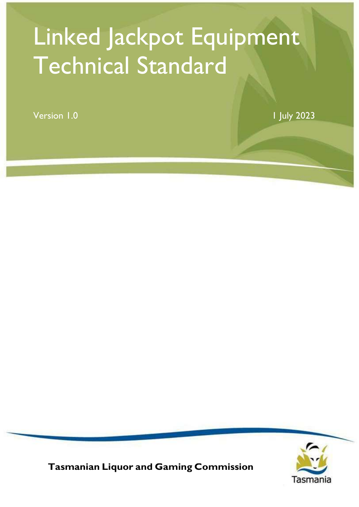# Linked Jackpot Equipment Technical Standard

Version 1.0 1 July 2023



Tasmanian Liquor and Gaming Commission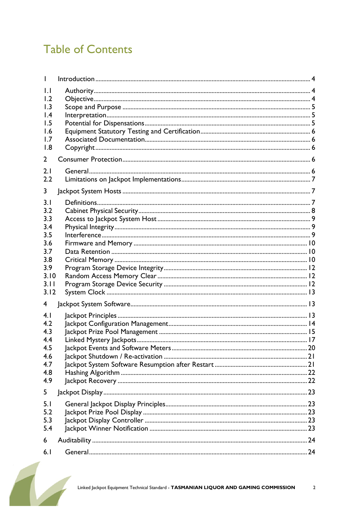# **Table of Contents**

| $\mathbf{L}$<br>1.2<br>1.3<br>$\mathsf{I}$ .4<br>1.5<br>1.6<br>1.7<br>1.8 |  |
|---------------------------------------------------------------------------|--|
| $\mathbf{2}$                                                              |  |
| 2.1<br>2.2                                                                |  |
| 3                                                                         |  |
| 3.1<br>3.2<br>3.3<br>3.4<br>3.5<br>3.6<br>3.7<br>3.8                      |  |
| 3.9<br>3.10<br>3.11<br>3.12                                               |  |
| 4                                                                         |  |
| 4.1<br>4.2<br>4.3<br>4.4<br>4.5<br>4.6<br>4.7<br>4.8<br>4.9               |  |
| 5                                                                         |  |
| 5.1<br>5.2<br>5.3<br>5.4                                                  |  |
| 6                                                                         |  |
| 6.1                                                                       |  |

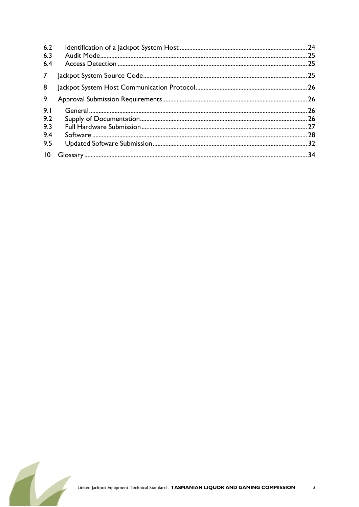| 6.2<br>6.3<br>6.4               |  |
|---------------------------------|--|
| $7\overline{ }$                 |  |
| 8                               |  |
| 9                               |  |
| 9.1<br>9.2<br>9.3<br>9.4<br>9.5 |  |
| $\overline{10}$                 |  |

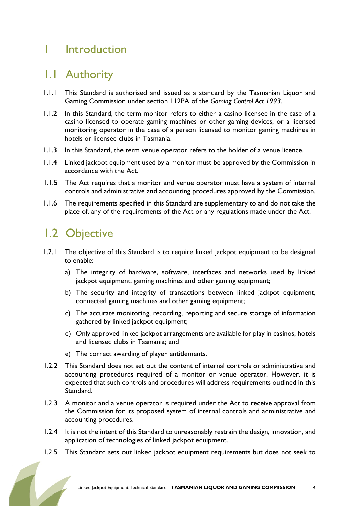### 1 Introduction

### 1.1 Authority

- 1.1.1 This Standard is authorised and issued as a standard by the Tasmanian Liquor and Gaming Commission under section 112PA of the Gaming Control Act 1993.
- 1.1.2 In this Standard, the term monitor refers to either a casino licensee in the case of a casino licensed to operate gaming machines or other gaming devices, or a licensed monitoring operator in the case of a person licensed to monitor gaming machines in hotels or licensed clubs in Tasmania.
- 1.1.3 In this Standard, the term venue operator refers to the holder of a venue licence.
- 1.1.4 Linked jackpot equipment used by a monitor must be approved by the Commission in accordance with the Act.
- 1.1.5 The Act requires that a monitor and venue operator must have a system of internal controls and administrative and accounting procedures approved by the Commission.
- 1.1.6 The requirements specified in this Standard are supplementary to and do not take the place of, any of the requirements of the Act or any regulations made under the Act.

### 1.2 Objective

- 1.2.1 The objective of this Standard is to require linked jackpot equipment to be designed to enable:
	- a) The integrity of hardware, software, interfaces and networks used by linked jackpot equipment, gaming machines and other gaming equipment;
	- b) The security and integrity of transactions between linked jackpot equipment, connected gaming machines and other gaming equipment;
	- c) The accurate monitoring, recording, reporting and secure storage of information gathered by linked jackpot equipment;
	- d) Only approved linked jackpot arrangements are available for play in casinos, hotels and licensed clubs in Tasmania; and
	- e) The correct awarding of player entitlements.
- 1.2.2 This Standard does not set out the content of internal controls or administrative and accounting procedures required of a monitor or venue operator. However, it is expected that such controls and procedures will address requirements outlined in this Standard.
- 1.2.3 A monitor and a venue operator is required under the Act to receive approval from the Commission for its proposed system of internal controls and administrative and accounting procedures.
- 1.2.4 It is not the intent of this Standard to unreasonably restrain the design, innovation, and application of technologies of linked jackpot equipment.
- 1.2.5 This Standard sets out linked jackpot equipment requirements but does not seek to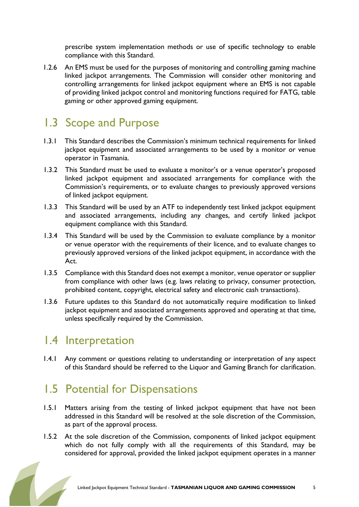prescribe system implementation methods or use of specific technology to enable compliance with this Standard.

1.2.6 An EMS must be used for the purposes of monitoring and controlling gaming machine linked jackpot arrangements. The Commission will consider other monitoring and controlling arrangements for linked jackpot equipment where an EMS is not capable of providing linked jackpot control and monitoring functions required for FATG, table gaming or other approved gaming equipment.

### 1.3 Scope and Purpose

- 1.3.1 This Standard describes the Commission's minimum technical requirements for linked jackpot equipment and associated arrangements to be used by a monitor or venue operator in Tasmania.
- 1.3.2 This Standard must be used to evaluate a monitor's or a venue operator's proposed linked jackpot equipment and associated arrangements for compliance with the Commission's requirements, or to evaluate changes to previously approved versions of linked jackpot equipment.
- 1.3.3 This Standard will be used by an ATF to independently test linked jackpot equipment and associated arrangements, including any changes, and certify linked jackpot equipment compliance with this Standard.
- 1.3.4 This Standard will be used by the Commission to evaluate compliance by a monitor or venue operator with the requirements of their licence, and to evaluate changes to previously approved versions of the linked jackpot equipment, in accordance with the Act.
- 1.3.5 Compliance with this Standard does not exempt a monitor, venue operator or supplier from compliance with other laws (e.g. laws relating to privacy, consumer protection, prohibited content, copyright, electrical safety and electronic cash transactions).
- 1.3.6 Future updates to this Standard do not automatically require modification to linked jackpot equipment and associated arrangements approved and operating at that time, unless specifically required by the Commission.

### 1.4 Interpretation

1.4.1 Any comment or questions relating to understanding or interpretation of any aspect of this Standard should be referred to the Liquor and Gaming Branch for clarification.

# 1.5 Potential for Dispensations

- 1.5.1 Matters arising from the testing of linked jackpot equipment that have not been addressed in this Standard will be resolved at the sole discretion of the Commission, as part of the approval process.
- 1.5.2 At the sole discretion of the Commission, components of linked jackpot equipment which do not fully comply with all the requirements of this Standard, may be considered for approval, provided the linked jackpot equipment operates in a manner

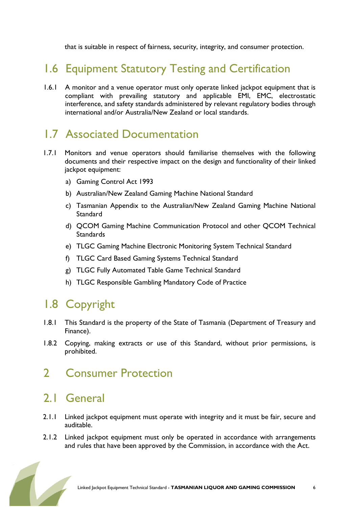that is suitable in respect of fairness, security, integrity, and consumer protection.

# 1.6 Equipment Statutory Testing and Certification

1.6.1 A monitor and a venue operator must only operate linked jackpot equipment that is compliant with prevailing statutory and applicable EMI, EMC, electrostatic interference, and safety standards administered by relevant regulatory bodies through international and/or Australia/New Zealand or local standards.

### 1.7 Associated Documentation

- 1.7.1 Monitors and venue operators should familiarise themselves with the following documents and their respective impact on the design and functionality of their linked jackpot equipment:
	- a) Gaming Control Act 1993
	- b) Australian/New Zealand Gaming Machine National Standard
	- c) Tasmanian Appendix to the Australian/New Zealand Gaming Machine National **Standard**
	- d) QCOM Gaming Machine Communication Protocol and other QCOM Technical **Standards**
	- e) TLGC Gaming Machine Electronic Monitoring System Technical Standard
	- f) TLGC Card Based Gaming Systems Technical Standard
	- g) TLGC Fully Automated Table Game Technical Standard
	- h) TLGC Responsible Gambling Mandatory Code of Practice

# 1.8 Copyright

- 1.8.1 This Standard is the property of the State of Tasmania (Department of Treasury and Finance).
- 1.8.2 Copying, making extracts or use of this Standard, without prior permissions, is prohibited.

# 2 Consumer Protection

### 2.1 General

- 2.1.1 Linked jackpot equipment must operate with integrity and it must be fair, secure and auditable.
- 2.1.2 Linked jackpot equipment must only be operated in accordance with arrangements and rules that have been approved by the Commission, in accordance with the Act.

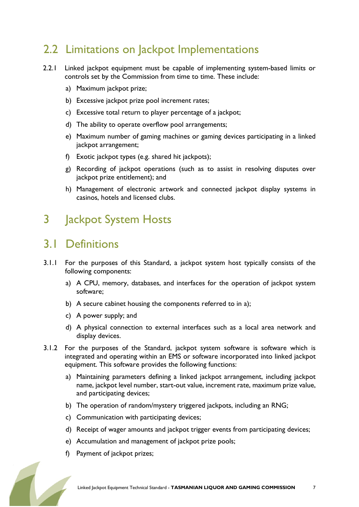# 2.2 Limitations on Jackpot Implementations

- 2.2.1 Linked jackpot equipment must be capable of implementing system-based limits or controls set by the Commission from time to time. These include:
	- a) Maximum jackpot prize;
	- b) Excessive jackpot prize pool increment rates;
	- c) Excessive total return to player percentage of a jackpot;
	- d) The ability to operate overflow pool arrangements;
	- e) Maximum number of gaming machines or gaming devices participating in a linked jackpot arrangement;
	- f) Exotic jackpot types (e.g. shared hit jackpots);
	- g) Recording of jackpot operations (such as to assist in resolving disputes over jackpot prize entitlement); and
	- h) Management of electronic artwork and connected jackpot display systems in casinos, hotels and licensed clubs.

# 3 **Jackpot System Hosts**

### 3.1 Definitions

- 3.1.1 For the purposes of this Standard, a jackpot system host typically consists of the following components:
	- a) A CPU, memory, databases, and interfaces for the operation of jackpot system software;
	- b) A secure cabinet housing the components referred to in a);
	- c) A power supply; and
	- d) A physical connection to external interfaces such as a local area network and display devices.
- 3.1.2 For the purposes of the Standard, jackpot system software is software which is integrated and operating within an EMS or software incorporated into linked jackpot equipment. This software provides the following functions:
	- a) Maintaining parameters defining a linked jackpot arrangement, including jackpot name, jackpot level number, start-out value, increment rate, maximum prize value, and participating devices;
	- b) The operation of random/mystery triggered jackpots, including an RNG;
	- c) Communication with participating devices;
	- d) Receipt of wager amounts and jackpot trigger events from participating devices;
	- e) Accumulation and management of jackpot prize pools;
	- f) Payment of jackpot prizes;

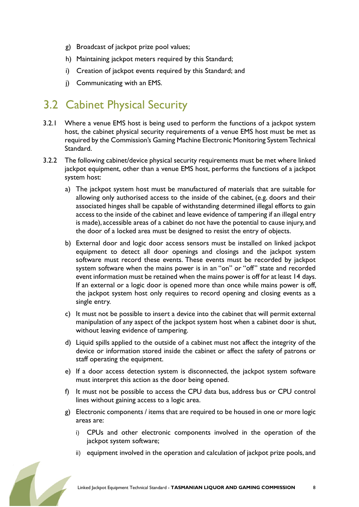- g) Broadcast of jackpot prize pool values;
- h) Maintaining jackpot meters required by this Standard;
- i) Creation of jackpot events required by this Standard; and
- j) Communicating with an EMS.

# 3.2 Cabinet Physical Security

- 3.2.1 Where a venue EMS host is being used to perform the functions of a jackpot system host, the cabinet physical security requirements of a venue EMS host must be met as required by the Commission's Gaming Machine Electronic Monitoring System Technical Standard.
- 3.2.2 The following cabinet/device physical security requirements must be met where linked jackpot equipment, other than a venue EMS host, performs the functions of a jackpot system host:
	- a) The jackpot system host must be manufactured of materials that are suitable for allowing only authorised access to the inside of the cabinet, (e.g. doors and their associated hinges shall be capable of withstanding determined illegal efforts to gain access to the inside of the cabinet and leave evidence of tampering if an illegal entry is made), accessible areas of a cabinet do not have the potential to cause injury, and the door of a locked area must be designed to resist the entry of objects.
	- b) External door and logic door access sensors must be installed on linked jackpot equipment to detect all door openings and closings and the jackpot system software must record these events. These events must be recorded by jackpot system software when the mains power is in an "on" or "off" state and recorded event information must be retained when the mains power is off for at least 14 days. If an external or a logic door is opened more than once while mains power is off, the jackpot system host only requires to record opening and closing events as a single entry.
	- c) It must not be possible to insert a device into the cabinet that will permit external manipulation of any aspect of the jackpot system host when a cabinet door is shut, without leaving evidence of tampering.
	- d) Liquid spills applied to the outside of a cabinet must not affect the integrity of the device or information stored inside the cabinet or affect the safety of patrons or staff operating the equipment.
	- e) If a door access detection system is disconnected, the jackpot system software must interpret this action as the door being opened.
	- f) It must not be possible to access the CPU data bus, address bus or CPU control lines without gaining access to a logic area.
	- g) Electronic components / items that are required to be housed in one or more logic areas are:
		- i) CPUs and other electronic components involved in the operation of the jackpot system software;
		- ii) equipment involved in the operation and calculation of jackpot prize pools, and

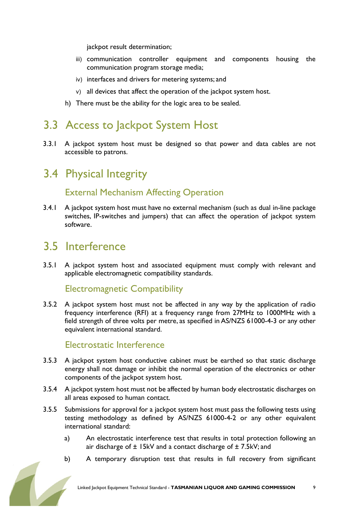jackpot result determination;

- iii) communication controller equipment and components housing the communication program storage media;
- iv) interfaces and drivers for metering systems; and
- v) all devices that affect the operation of the jackpot system host.
- h) There must be the ability for the logic area to be sealed.

# 3.3 Access to Jackpot System Host

3.3.1 A jackpot system host must be designed so that power and data cables are not accessible to patrons.

### 3.4 Physical Integrity

### External Mechanism Affecting Operation

3.4.1 A jackpot system host must have no external mechanism (such as dual in-line package switches, IP-switches and jumpers) that can affect the operation of jackpot system software.

### 3.5 Interference

3.5.1 A jackpot system host and associated equipment must comply with relevant and applicable electromagnetic compatibility standards.

#### Electromagnetic Compatibility

3.5.2 A jackpot system host must not be affected in any way by the application of radio frequency interference (RFI) at a frequency range from 27MHz to 1000MHz with a field strength of three volts per metre, as specified in AS/NZS 61000-4-3 or any other equivalent international standard.

#### Electrostatic Interference

- 3.5.3 A jackpot system host conductive cabinet must be earthed so that static discharge energy shall not damage or inhibit the normal operation of the electronics or other components of the jackpot system host.
- 3.5.4 A jackpot system host must not be affected by human body electrostatic discharges on all areas exposed to human contact.
- 3.5.5 Submissions for approval for a jackpot system host must pass the following tests using testing methodology as defined by AS/NZS 61000-4-2 or any other equivalent international standard:
	- a) An electrostatic interference test that results in total protection following an air discharge of  $\pm$  15kV and a contact discharge of  $\pm$  7.5kV; and
	- b) A temporary disruption test that results in full recovery from significant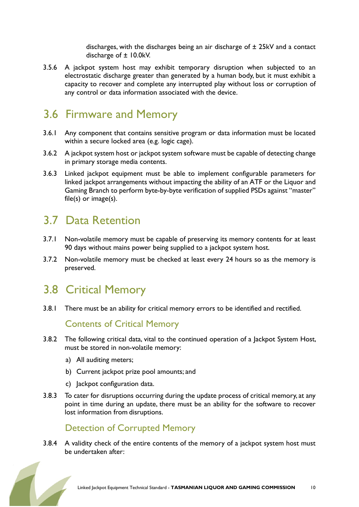discharges, with the discharges being an air discharge of ± 25kV and a contact discharge of ± 10.0kV.

3.5.6 A jackpot system host may exhibit temporary disruption when subjected to an electrostatic discharge greater than generated by a human body, but it must exhibit a capacity to recover and complete any interrupted play without loss or corruption of any control or data information associated with the device.

### 3.6 Firmware and Memory

- 3.6.1 Any component that contains sensitive program or data information must be located within a secure locked area (e.g. logic cage).
- 3.6.2 A jackpot system host or jackpot system software must be capable of detecting change in primary storage media contents.
- 3.6.3 Linked jackpot equipment must be able to implement configurable parameters for linked jackpot arrangements without impacting the ability of an ATF or the Liquor and Gaming Branch to perform byte-by-byte verification of supplied PSDs against "master" file(s) or image(s).

### 3.7 Data Retention

- 3.7.1 Non-volatile memory must be capable of preserving its memory contents for at least 90 days without mains power being supplied to a jackpot system host.
- 3.7.2 Non-volatile memory must be checked at least every 24 hours so as the memory is preserved.

### 3.8 Critical Memory

3.8.1 There must be an ability for critical memory errors to be identified and rectified.

### Contents of Critical Memory

- 3.8.2 The following critical data, vital to the continued operation of a Jackpot System Host, must be stored in non-volatile memory:
	- a) All auditing meters;
	- b) Current jackpot prize pool amounts; and
	- c) Jackpot configuration data.
- 3.8.3 To cater for disruptions occurring during the update process of critical memory, at any point in time during an update, there must be an ability for the software to recover lost information from disruptions.

### Detection of Corrupted Memory

3.8.4 A validity check of the entire contents of the memory of a jackpot system host must be undertaken after:

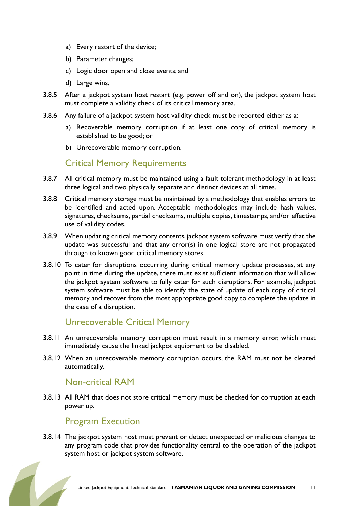- a) Every restart of the device;
- b) Parameter changes;
- c) Logic door open and close events; and
- d) Large wins.
- 3.8.5 After a jackpot system host restart (e.g. power off and on), the jackpot system host must complete a validity check of its critical memory area.
- 3.8.6 Any failure of a jackpot system host validity check must be reported either as a:
	- a) Recoverable memory corruption if at least one copy of critical memory is established to be good; or
	- b) Unrecoverable memory corruption.

#### Critical Memory Requirements

- 3.8.7 All critical memory must be maintained using a fault tolerant methodology in at least three logical and two physically separate and distinct devices at all times.
- 3.8.8 Critical memory storage must be maintained by a methodology that enables errors to be identified and acted upon. Acceptable methodologies may include hash values, signatures, checksums, partial checksums, multiple copies, timestamps, and/or effective use of validity codes.
- 3.8.9 When updating critical memory contents, jackpot system software must verify that the update was successful and that any error(s) in one logical store are not propagated through to known good critical memory stores.
- 3.8.10 To cater for disruptions occurring during critical memory update processes, at any point in time during the update, there must exist sufficient information that will allow the jackpot system software to fully cater for such disruptions. For example, jackpot system software must be able to identify the state of update of each copy of critical memory and recover from the most appropriate good copy to complete the update in the case of a disruption.

#### Unrecoverable Critical Memory

- 3.8.11 An unrecoverable memory corruption must result in a memory error, which must immediately cause the linked jackpot equipment to be disabled.
- 3.8.12 When an unrecoverable memory corruption occurs, the RAM must not be cleared automatically.

### Non-critical RAM

3.8.13 All RAM that does not store critical memory must be checked for corruption at each power up.

#### Program Execution

3.8.14 The jackpot system host must prevent or detect unexpected or malicious changes to any program code that provides functionality central to the operation of the jackpot system host or jackpot system software.

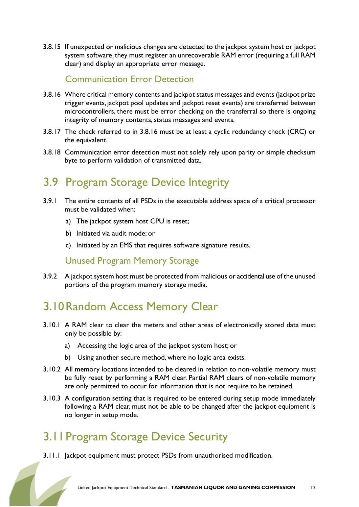3.8.15 If unexpected or malicious changes are detected to the jackpot system host or jackpot system software, they must register an unrecoverable RAM error (requiring a full RAM clear) and display an appropriate error message.

### Communication Error Detection

- 3.8.16 Where critical memory contents and jackpot status messages and events (jackpot prize trigger events, jackpot pool updates and jackpot reset events) are transferred between microcontrollers, there must be error checking on the transferral so there is ongoing integrity of memory contents, status messages and events.
- 3.8.17 The check referred to in 3.8.16 must be at least a cyclic redundancy check (CRC) or the equivalent.
- 3.8.18 Communication error detection must not solely rely upon parity or simple checksum byte to perform validation of transmitted data.

# 3.9 Program Storage Device Integrity

- 3.9.1 The entire contents of all PSDs in the executable address space of a critical processor must be validated when:
	- a) The jackpot system host CPU is reset:
	- b) Initiated via audit mode; or
	- c) Initiated by an EMS that requires software signature results.

### Unused Program Memory Storage

3.9.2 A jackpot system host must be protected from malicious or accidental use of the unused portions of the program memory storage media.

# 3.10Random Access Memory Clear

- 3.10.1 A RAM clear to clear the meters and other areas of electronically stored data must only be possible by:
	- a) Accessing the logic area of the jackpot system host; or
	- b) Using another secure method, where no logic area exists.
- 3.10.2 All memory locations intended to be cleared in relation to non-volatile memory must be fully reset by performing a RAM clear. Partial RAM clears of non-volatile memory are only permitted to occur for information that is not require to be retained.
- 3.10.3 A configuration setting that is required to be entered during setup mode immediately following a RAM clear, must not be able to be changed after the jackpot equipment is no longer in setup mode.

# 3.11Program Storage Device Security

3.11.1 Jackpot equipment must protect PSDs from unauthorised modification.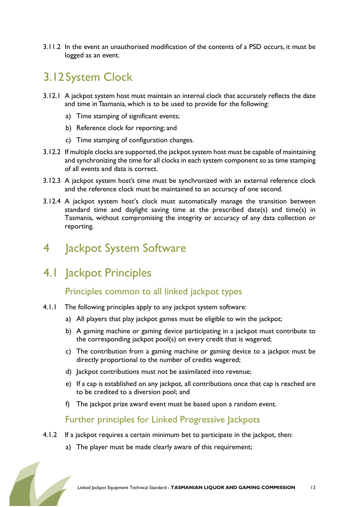3.11.2 In the event an unauthorised modification of the contents of a PSD occurs, it must be logged as an event.

# 3.12System Clock

- 3.12.1 A jackpot system host must maintain an internal clock that accurately reflects the date and time in Tasmania, which is to be used to provide for the following:
	- a) Time stamping of significant events;
	- b) Reference clock for reporting; and
	- c) Time stamping of configuration changes.
- 3.12.2 If multiple clocks are supported, the jackpot system host must be capable of maintaining and synchronizing the time for all clocks in each system component so as time stamping of all events and data is correct.
- 3.12.3 A jackpot system host's time must be synchronized with an external reference clock and the reference clock must be maintained to an accuracy of one second.
- 3.12.4 A jackpot system host's clock must automatically manage the transition between standard time and daylight saving time at the prescribed date(s) and time(s) in Tasmania, without compromising the integrity or accuracy of any data collection or reporting.

# 4 Jackpot System Software

# 4.1 Jackpot Principles

### Principles common to all linked jackpot types

- 4.1.1 The following principles apply to any jackpot system software:
	- a) All players that play jackpot games must be eligible to win the jackpot;
	- b) A gaming machine or gaming device participating in a jackpot must contribute to the corresponding jackpot pool(s) on every credit that is wagered;
	- c) The contribution from a gaming machine or gaming device to a jackpot must be directly proportional to the number of credits wagered;
	- d) Jackpot contributions must not be assimilated into revenue;
	- e) If a cap is established on any jackpot, all contributions once that cap is reached are to be credited to a diversion pool; and
	- f) The jackpot prize award event must be based upon a random event.

### Further principles for Linked Progressive Jackpots

- 4.1.2 If a jackpot requires a certain minimum bet to participate in the jackpot, then:
	- a) The player must be made clearly aware of this requirement;

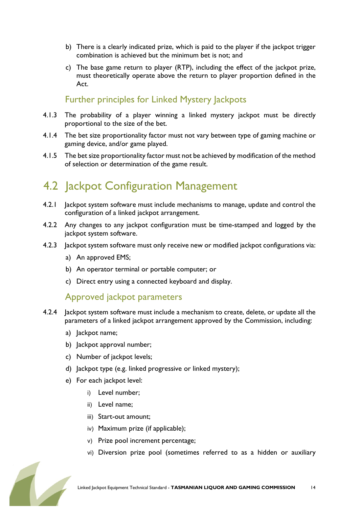- b) There is a clearly indicated prize, which is paid to the player if the jackpot trigger combination is achieved but the minimum bet is not; and
- c) The base game return to player (RTP), including the effect of the jackpot prize, must theoretically operate above the return to player proportion defined in the Act.

### Further principles for Linked Mystery Jackpots

- 4.1.3 The probability of a player winning a linked mystery jackpot must be directly proportional to the size of the bet.
- 4.1.4 The bet size proportionality factor must not vary between type of gaming machine or gaming device, and/or game played.
- 4.1.5 The bet size proportionality factor must not be achieved by modification of the method of selection or determination of the game result.

# 4.2 Jackpot Configuration Management

- 4.2.1 Jackpot system software must include mechanisms to manage, update and control the configuration of a linked jackpot arrangement.
- 4.2.2 Any changes to any jackpot configuration must be time-stamped and logged by the jackpot system software.
- 4.2.3 Jackpot system software must only receive new or modified jackpot configurations via:
	- a) An approved EMS;
	- b) An operator terminal or portable computer; or
	- c) Direct entry using a connected keyboard and display.

#### Approved jackpot parameters

- 4.2.4 Jackpot system software must include a mechanism to create, delete, or update all the parameters of a linked jackpot arrangement approved by the Commission, including:
	- a) lackpot name;
	- b) Jackpot approval number;
	- c) Number of jackpot levels;
	- d) Jackpot type (e.g. linked progressive or linked mystery);
	- e) For each jackpot level:
		- i) Level number;
		- ii) Level name;
		- iii) Start-out amount;
		- iv) Maximum prize (if applicable);
		- v) Prize pool increment percentage;
		- vi) Diversion prize pool (sometimes referred to as a hidden or auxiliary

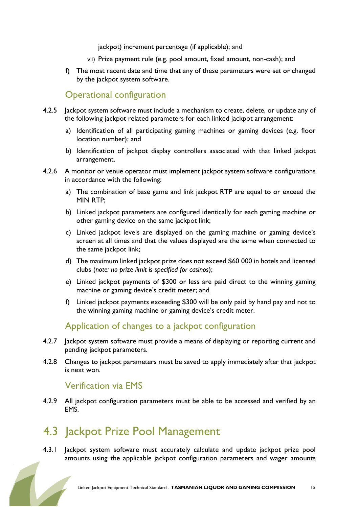jackpot) increment percentage (if applicable); and

- vii) Prize payment rule (e.g. pool amount, fixed amount, non-cash); and
- f) The most recent date and time that any of these parameters were set or changed by the jackpot system software.

#### Operational configuration

- 4.2.5 Jackpot system software must include a mechanism to create, delete, or update any of the following jackpot related parameters for each linked jackpot arrangement:
	- a) Identification of all participating gaming machines or gaming devices (e.g. floor location number); and
	- b) Identification of jackpot display controllers associated with that linked jackpot arrangement.
- 4.2.6 A monitor or venue operator must implement jackpot system software configurations in accordance with the following:
	- a) The combination of base game and link jackpot RTP are equal to or exceed the MIN RTP;
	- b) Linked jackpot parameters are configured identically for each gaming machine or other gaming device on the same jackpot link;
	- c) Linked jackpot levels are displayed on the gaming machine or gaming device's screen at all times and that the values displayed are the same when connected to the same jackpot link;
	- d) The maximum linked jackpot prize does not exceed \$60 000 in hotels and licensed clubs (note: no prize limit is specified for casinos);
	- e) Linked jackpot payments of \$300 or less are paid direct to the winning gaming machine or gaming device's credit meter; and
	- f) Linked jackpot payments exceeding \$300 will be only paid by hand pay and not to the winning gaming machine or gaming device's credit meter.

### Application of changes to a jackpot configuration

- 4.2.7 Jackpot system software must provide a means of displaying or reporting current and pending jackpot parameters.
- 4.2.8 Changes to jackpot parameters must be saved to apply immediately after that jackpot is next won.

#### Verification via EMS

4.2.9 All jackpot configuration parameters must be able to be accessed and verified by an EMS.

### 4.3 Jackpot Prize Pool Management

4.3.1 Jackpot system software must accurately calculate and update jackpot prize pool amounts using the applicable jackpot configuration parameters and wager amounts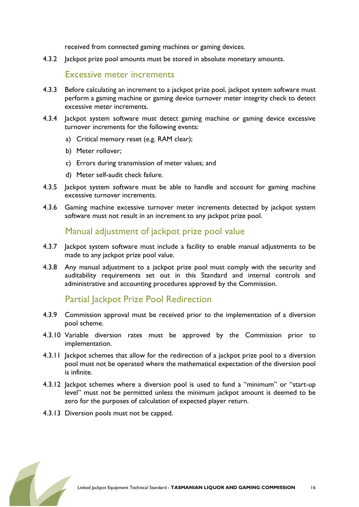received from connected gaming machines or gaming devices.

4.3.2 Jackpot prize pool amounts must be stored in absolute monetary amounts.

#### Excessive meter increments

- 4.3.3 Before calculating an increment to a jackpot prize pool, jackpot system software must perform a gaming machine or gaming device turnover meter integrity check to detect excessive meter increments.
- 4.3.4 Jackpot system software must detect gaming machine or gaming device excessive turnover increments for the following events:
	- a) Critical memory reset (e.g. RAM clear);
	- b) Meter rollover;
	- c) Errors during transmission of meter values; and
	- d) Meter self-audit check failure.
- 4.3.5 Jackpot system software must be able to handle and account for gaming machine excessive turnover increments.
- 4.3.6 Gaming machine excessive turnover meter increments detected by jackpot system software must not result in an increment to any jackpot prize pool.

#### Manual adjustment of jackpot prize pool value

- 4.3.7 Jackpot system software must include a facility to enable manual adjustments to be made to any jackpot prize pool value.
- 4.3.8 Any manual adjustment to a jackpot prize pool must comply with the security and auditability requirements set out in this Standard and internal controls and administrative and accounting procedures approved by the Commission.

#### Partial Jackpot Prize Pool Redirection

- 4.3.9 Commission approval must be received prior to the implementation of a diversion pool scheme.
- 4.3.10 Variable diversion rates must be approved by the Commission prior to implementation.
- 4.3.11 Jackpot schemes that allow for the redirection of a jackpot prize pool to a diversion pool must not be operated where the mathematical expectation of the diversion pool is infinite.
- 4.3.12 Jackpot schemes where a diversion pool is used to fund a "minimum" or "start-up level" must not be permitted unless the minimum jackpot amount is deemed to be zero for the purposes of calculation of expected player return.
- 4.3.13 Diversion pools must not be capped.

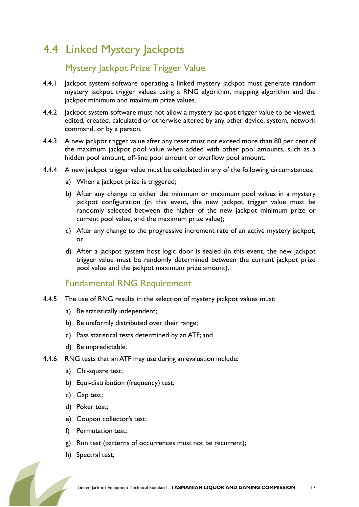# 4.4 Linked Mystery Jackpots

### Mystery Jackpot Prize Trigger Value

- 4.4.1 Jackpot system software operating a linked mystery jackpot must generate random mystery jackpot trigger values using a RNG algorithm, mapping algorithm and the jackpot minimum and maximum prize values.
- 4.4.2 Jackpot system software must not allow a mystery jackpot trigger value to be viewed, edited, created, calculated or otherwise altered by any other device, system, network command, or by a person.
- 4.4.3 A new jackpot trigger value after any reset must not exceed more than 80 per cent of the maximum jackpot pool value when added with other pool amounts, such as a hidden pool amount, off-line pool amount or overflow pool amount.
- 4.4.4 A new jackpot trigger value must be calculated in any of the following circumstances:
	- a) When a jackpot prize is triggered;
	- b) After any change to either the minimum or maximum pool values in a mystery jackpot configuration (in this event, the new jackpot trigger value must be randomly selected between the higher of the new jackpot minimum prize or current pool value, and the maximum prize value);
	- c) After any change to the progressive increment rate of an active mystery jackpot; or
	- d) After a jackpot system host logic door is sealed (in this event, the new jackpot trigger value must be randomly determined between the current jackpot prize pool value and the jackpot maximum prize amount).

#### Fundamental RNG Requirement

- 4.4.5 The use of RNG results in the selection of mystery jackpot values must:
	- a) Be statistically independent;
	- b) Be uniformly distributed over their range;
	- c) Pass statistical tests determined by an ATF; and
	- d) Be unpredictable.
- 4.4.6 RNG tests that an ATF may use during an evaluation include:
	- a) Chi-square test;
	- b) Equi-distribution (frequency) test;
	- c) Gap test;
	- d) Poker test;
	- e) Coupon collector's test;
	- f) Permutation test;
	- g) Run test (patterns of occurrences must not be recurrent);
	- h) Spectral test;

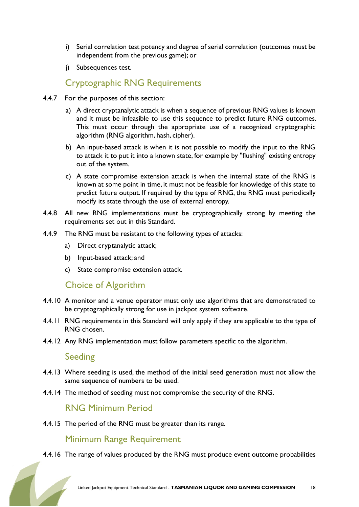- i) Serial correlation test potency and degree of serial correlation (outcomes must be independent from the previous game); or
- j) Subsequences test.

### Cryptographic RNG Requirements

- 4.4.7 For the purposes of this section:
	- a) A direct cryptanalytic attack is when a sequence of previous RNG values is known and it must be infeasible to use this sequence to predict future RNG outcomes. This must occur through the appropriate use of a recognized cryptographic algorithm (RNG algorithm, hash, cipher).
	- b) An input-based attack is when it is not possible to modify the input to the RNG to attack it to put it into a known state, for example by "flushing" existing entropy out of the system.
	- c) A state compromise extension attack is when the internal state of the RNG is known at some point in time, it must not be feasible for knowledge of this state to predict future output. If required by the type of RNG, the RNG must periodically modify its state through the use of external entropy.
- 4.4.8 All new RNG implementations must be cryptographically strong by meeting the requirements set out in this Standard.
- 4.4.9 The RNG must be resistant to the following types of attacks:
	- a) Direct cryptanalytic attack;
	- b) Input-based attack; and
	- c) State compromise extension attack.

### Choice of Algorithm

- 4.4.10 A monitor and a venue operator must only use algorithms that are demonstrated to be cryptographically strong for use in jackpot system software.
- 4.4.11 RNG requirements in this Standard will only apply if they are applicable to the type of RNG chosen.
- 4.4.12 Any RNG implementation must follow parameters specific to the algorithm.

#### Seeding

- 4.4.13 Where seeding is used, the method of the initial seed generation must not allow the same sequence of numbers to be used.
- 4.4.14 The method of seeding must not compromise the security of the RNG.

#### RNG Minimum Period

4.4.15 The period of the RNG must be greater than its range.

#### Minimum Range Requirement

4.4.16 The range of values produced by the RNG must produce event outcome probabilities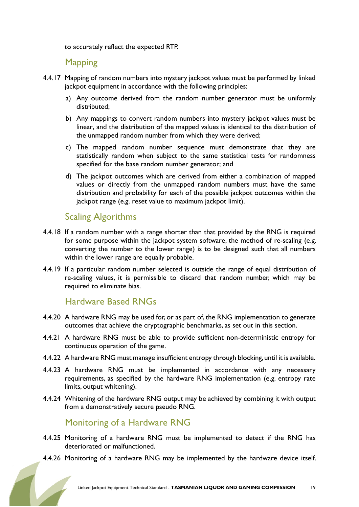to accurately reflect the expected RTP.

#### **Mapping**

- 4.4.17 Mapping of random numbers into mystery jackpot values must be performed by linked jackpot equipment in accordance with the following principles:
	- a) Any outcome derived from the random number generator must be uniformly distributed;
	- b) Any mappings to convert random numbers into mystery jackpot values must be linear, and the distribution of the mapped values is identical to the distribution of the unmapped random number from which they were derived;
	- c) The mapped random number sequence must demonstrate that they are statistically random when subject to the same statistical tests for randomness specified for the base random number generator; and
	- d) The jackpot outcomes which are derived from either a combination of mapped values or directly from the unmapped random numbers must have the same distribution and probability for each of the possible jackpot outcomes within the jackpot range (e.g. reset value to maximum jackpot limit).

#### Scaling Algorithms

- 4.4.18 If a random number with a range shorter than that provided by the RNG is required for some purpose within the jackpot system software, the method of re-scaling (e.g. converting the number to the lower range) is to be designed such that all numbers within the lower range are equally probable.
- 4.4.19 If a particular random number selected is outside the range of equal distribution of re-scaling values, it is permissible to discard that random number, which may be required to eliminate bias.

#### Hardware Based RNGs

- 4.4.20 A hardware RNG may be used for, or as part of, the RNG implementation to generate outcomes that achieve the cryptographic benchmarks, as set out in this section.
- 4.4.21 A hardware RNG must be able to provide sufficient non-deterministic entropy for continuous operation of the game.
- 4.4.22 A hardware RNG must manage insufficient entropy through blocking, until it is available.
- 4.4.23 A hardware RNG must be implemented in accordance with any necessary requirements, as specified by the hardware RNG implementation (e.g. entropy rate limits, output whitening).
- 4.4.24 Whitening of the hardware RNG output may be achieved by combining it with output from a demonstratively secure pseudo RNG.

#### Monitoring of a Hardware RNG

- 4.4.25 Monitoring of a hardware RNG must be implemented to detect if the RNG has deteriorated or malfunctioned.
- 4.4.26 Monitoring of a hardware RNG may be implemented by the hardware device itself.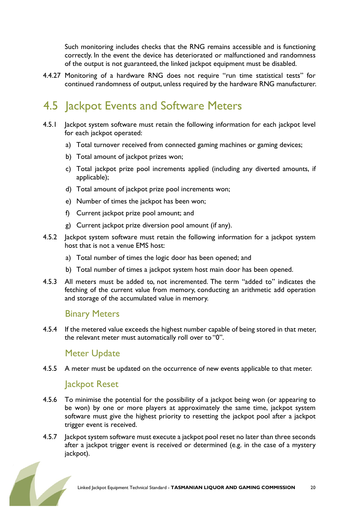Such monitoring includes checks that the RNG remains accessible and is functioning correctly. In the event the device has deteriorated or malfunctioned and randomness of the output is not guaranteed, the linked jackpot equipment must be disabled.

4.4.27 Monitoring of a hardware RNG does not require "run time statistical tests" for continued randomness of output, unless required by the hardware RNG manufacturer.

# 4.5 Jackpot Events and Software Meters

- 4.5.1 Jackpot system software must retain the following information for each jackpot level for each jackpot operated:
	- a) Total turnover received from connected gaming machines or gaming devices;
	- b) Total amount of jackpot prizes won;
	- c) Total jackpot prize pool increments applied (including any diverted amounts, if applicable);
	- d) Total amount of jackpot prize pool increments won;
	- e) Number of times the jackpot has been won;
	- f) Current jackpot prize pool amount; and
	- g) Current jackpot prize diversion pool amount (if any).
- 4.5.2 Jackpot system software must retain the following information for a jackpot system host that is not a venue EMS host:
	- a) Total number of times the logic door has been opened; and
	- b) Total number of times a jackpot system host main door has been opened.
- 4.5.3 All meters must be added to, not incremented. The term "added to" indicates the fetching of the current value from memory, conducting an arithmetic add operation and storage of the accumulated value in memory.

#### Binary Meters

4.5.4 If the metered value exceeds the highest number capable of being stored in that meter, the relevant meter must automatically roll over to "0".

#### Meter Update

4.5.5 A meter must be updated on the occurrence of new events applicable to that meter.

#### Jackpot Reset

- 4.5.6 To minimise the potential for the possibility of a jackpot being won (or appearing to be won) by one or more players at approximately the same time, jackpot system software must give the highest priority to resetting the jackpot pool after a jackpot trigger event is received.
- 4.5.7 Jackpot system software must execute a jackpot pool reset no later than three seconds after a jackpot trigger event is received or determined (e.g. in the case of a mystery jackpot).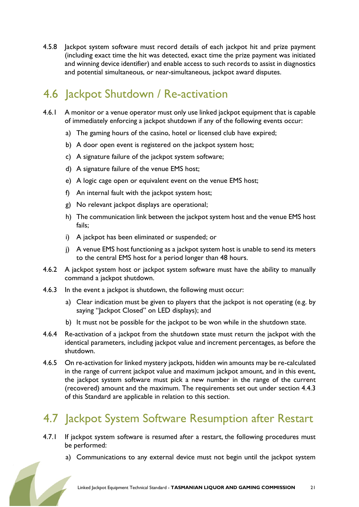4.5.8 Jackpot system software must record details of each jackpot hit and prize payment (including exact time the hit was detected, exact time the prize payment was initiated and winning device identifier) and enable access to such records to assist in diagnostics and potential simultaneous, or near-simultaneous, jackpot award disputes.

# 4.6 Jackpot Shutdown / Re-activation

- 4.6.1 A monitor or a venue operator must only use linked jackpot equipment that is capable of immediately enforcing a jackpot shutdown if any of the following events occur:
	- a) The gaming hours of the casino, hotel or licensed club have expired;
	- b) A door open event is registered on the jackpot system host;
	- c) A signature failure of the jackpot system software;
	- d) A signature failure of the venue EMS host;
	- e) A logic cage open or equivalent event on the venue EMS host;
	- f) An internal fault with the jackpot system host;
	- g) No relevant jackpot displays are operational;
	- h) The communication link between the jackpot system host and the venue EMS host fails;
	- i) A jackpot has been eliminated or suspended; or
	- j) A venue EMS host functioning as a jackpot system host is unable to send its meters to the central EMS host for a period longer than 48 hours.
- 4.6.2 A jackpot system host or jackpot system software must have the ability to manually command a jackpot shutdown.
- 4.6.3 In the event a jackpot is shutdown, the following must occur:
	- a) Clear indication must be given to players that the jackpot is not operating (e.g. by saying "Jackpot Closed" on LED displays); and
	- b) It must not be possible for the jackpot to be won while in the shutdown state.
- 4.6.4 Re-activation of a jackpot from the shutdown state must return the jackpot with the identical parameters, including jackpot value and increment percentages, as before the shutdown.
- 4.6.5 On re-activation for linked mystery jackpots, hidden win amounts may be re-calculated in the range of current jackpot value and maximum jackpot amount, and in this event, the jackpot system software must pick a new number in the range of the current (recovered) amount and the maximum. The requirements set out under section 4.4.3 of this Standard are applicable in relation to this section.

# 4.7 Jackpot System Software Resumption after Restart

- 4.7.1 If jackpot system software is resumed after a restart, the following procedures must be performed:
	- a) Communications to any external device must not begin until the jackpot system

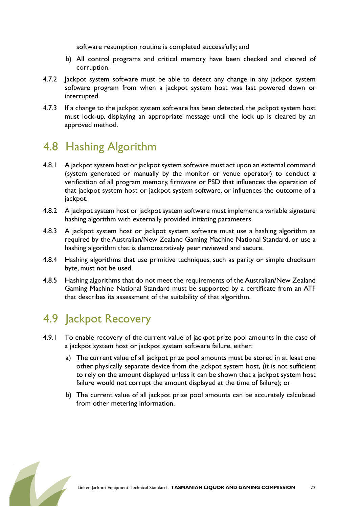software resumption routine is completed successfully; and

- b) All control programs and critical memory have been checked and cleared of corruption.
- 4.7.2 Jackpot system software must be able to detect any change in any jackpot system software program from when a jackpot system host was last powered down or interrupted.
- 4.7.3 If a change to the jackpot system software has been detected, the jackpot system host must lock-up, displaying an appropriate message until the lock up is cleared by an approved method.

# 4.8 Hashing Algorithm

- 4.8.1 A jackpot system host or jackpot system software must act upon an external command (system generated or manually by the monitor or venue operator) to conduct a verification of all program memory, firmware or PSD that influences the operation of that jackpot system host or jackpot system software, or influences the outcome of a jackpot.
- 4.8.2 A jackpot system host or jackpot system software must implement a variable signature hashing algorithm with externally provided initiating parameters.
- 4.8.3 A jackpot system host or jackpot system software must use a hashing algorithm as required by the Australian/New Zealand Gaming Machine National Standard, or use a hashing algorithm that is demonstratively peer reviewed and secure.
- 4.8.4 Hashing algorithms that use primitive techniques, such as parity or simple checksum byte, must not be used.
- 4.8.5 Hashing algorithms that do not meet the requirements of the Australian/New Zealand Gaming Machine National Standard must be supported by a certificate from an ATF that describes its assessment of the suitability of that algorithm.

# 4.9 Jackpot Recovery

- 4.9.1 To enable recovery of the current value of jackpot prize pool amounts in the case of a jackpot system host or jackpot system software failure, either:
	- a) The current value of all jackpot prize pool amounts must be stored in at least one other physically separate device from the jackpot system host, (it is not sufficient to rely on the amount displayed unless it can be shown that a jackpot system host failure would not corrupt the amount displayed at the time of failure); or
	- b) The current value of all jackpot prize pool amounts can be accurately calculated from other metering information.

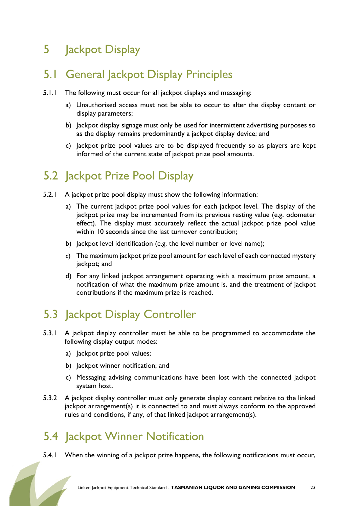# 5 Jackpot Display

### 5.1 General Jackpot Display Principles

- 5.1.1 The following must occur for all jackpot displays and messaging:
	- a) Unauthorised access must not be able to occur to alter the display content or display parameters;
	- b) Jackpot display signage must only be used for intermittent advertising purposes so as the display remains predominantly a jackpot display device; and
	- c) Jackpot prize pool values are to be displayed frequently so as players are kept informed of the current state of jackpot prize pool amounts.

### 5.2 Jackpot Prize Pool Display

- 5.2.1 A jackpot prize pool display must show the following information:
	- a) The current jackpot prize pool values for each jackpot level. The display of the jackpot prize may be incremented from its previous resting value (e.g. odometer effect). The display must accurately reflect the actual jackpot prize pool value within 10 seconds since the last turnover contribution;
	- b) Jackpot level identification (e.g. the level number or level name);
	- c) The maximum jackpot prize pool amount for each level of each connected mystery jackpot; and
	- d) For any linked jackpot arrangement operating with a maximum prize amount, a notification of what the maximum prize amount is, and the treatment of jackpot contributions if the maximum prize is reached.

# 5.3 Jackpot Display Controller

- 5.3.1 A jackpot display controller must be able to be programmed to accommodate the following display output modes:
	- a) Jackpot prize pool values;
	- b) Jackpot winner notification; and
	- c) Messaging advising communications have been lost with the connected jackpot system host.
- 5.3.2 A jackpot display controller must only generate display content relative to the linked jackpot arrangement(s) it is connected to and must always conform to the approved rules and conditions, if any, of that linked jackpot arrangement(s).

# 5.4 Jackpot Winner Notification

5.4.1 When the winning of a jackpot prize happens, the following notifications must occur,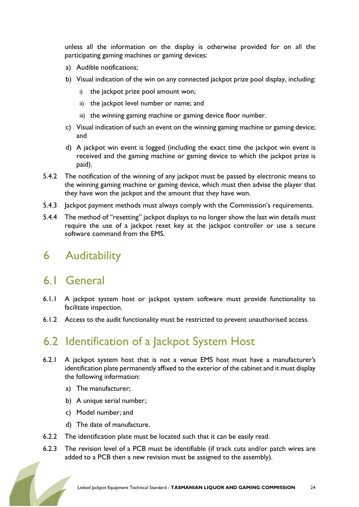unless all the information on the display is otherwise provided for on all the participating gaming machines or gaming devices:

- a) Audible notifications;
- b) Visual indication of the win on any connected jackpot prize pool display, including:
	- the jackpot prize pool amount won;
	- ii) the jackpot level number or name; and
	- iii) the winning gaming machine or gaming device floor number.
- c) Visual indication of such an event on the winning gaming machine or gaming device; and
- d) A jackpot win event is logged (including the exact time the jackpot win event is received and the gaming machine or gaming device to which the jackpot prize is paid).
- 5.4.2 The notification of the winning of any jackpot must be passed by electronic means to the winning gaming machine or gaming device, which must then advise the player that they have won the jackpot and the amount that they have won.
- 5.4.3 Jackpot payment methods must always comply with the Commission's requirements.
- 5.4.4 The method of "resetting" jackpot displays to no longer show the last win details must require the use of a jackpot reset key at the jackpot controller or use a secure software command from the EMS.

### 6 Auditability

### 6.1 General

- 6.1.1 A jackpot system host or jackpot system software must provide functionality to facilitate inspection.
- 6.1.2 Access to the audit functionality must be restricted to prevent unauthorised access.

# 6.2 Identification of a Jackpot System Host

- 6.2.1 A jackpot system host that is not a venue EMS host must have a manufacturer's identification plate permanentlyaffixed to the exterior of the cabinet and it must display the following information:
	- a) The manufacturer;
	- b) A unique serial number;
	- c) Model number; and
	- d) The date of manufacture.
- 6.2.2 The identification plate must be located such that it can be easily read.
- 6.2.3 The revision level of a PCB must be identifiable (if track cuts and/or patch wires are added to a PCB then a new revision must be assigned to the assembly).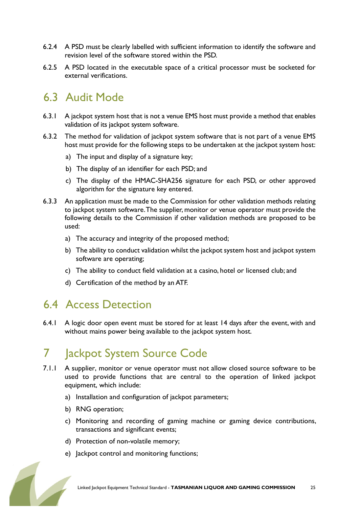- 6.2.4 A PSD must be clearly labelled with sufficient information to identify the software and revision level of the software stored within the PSD.
- 6.2.5 A PSD located in the executable space of a critical processor must be socketed for external verifications.

### 6.3 Audit Mode

- 6.3.1 A jackpot system host that is not a venue EMS host must provide a method that enables validation of its jackpot system software.
- 6.3.2 The method for validation of jackpot system software that is not part of a venue EMS host must provide for the following steps to be undertaken at the jackpot system host:
	- a) The input and display of a signature key;
	- b) The display of an identifier for each PSD; and
	- c) The display of the HMAC-SHA256 signature for each PSD, or other approved algorithm for the signature key entered.
- 6.3.3 An application must be made to the Commission for other validation methods relating to jackpot system software. The supplier, monitor or venue operator must provide the following details to the Commission if other validation methods are proposed to be used:
	- a) The accuracy and integrity of the proposed method;
	- b) The ability to conduct validation whilst the jackpot system host and jackpot system software are operating;
	- c) The ability to conduct field validation at a casino, hotel or licensed club; and
	- d) Certification of the method by an ATF.

### 6.4 Access Detection

6.4.1 A logic door open event must be stored for at least 14 days after the event, with and without mains power being available to the jackpot system host.

# 7 **Jackpot System Source Code**

- 7.1.1 A supplier, monitor or venue operator must not allow closed source software to be used to provide functions that are central to the operation of linked jackpot equipment, which include:
	- a) Installation and configuration of jackpot parameters;
	- b) RNG operation;
	- c) Monitoring and recording of gaming machine or gaming device contributions, transactions and significant events;
	- d) Protection of non-volatile memory;
	- e) Jackpot control and monitoring functions;

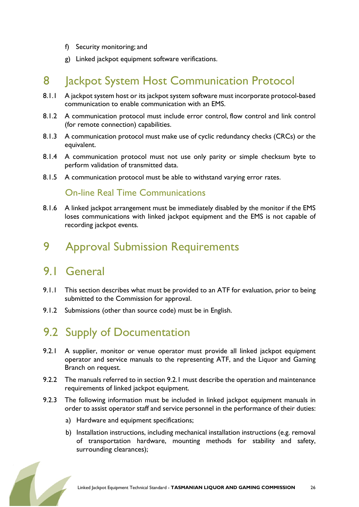- f) Security monitoring; and
- g) Linked jackpot equipment software verifications.

# 8 **Jackpot System Host Communication Protocol**

- 8.1.1 A jackpot system host or its jackpot system software must incorporate protocol-based communication to enable communication with an EMS.
- 8.1.2 A communication protocol must include error control, flow control and link control (for remote connection) capabilities.
- 8.1.3 A communication protocol must make use of cyclic redundancy checks (CRCs) or the equivalent.
- 8.1.4 A communication protocol must not use only parity or simple checksum byte to perform validation of transmitted data.
- 8.1.5 A communication protocol must be able to withstand varying error rates.

### On-line Real Time Communications

8.1.6 A linked jackpot arrangement must be immediately disabled by the monitor if the EMS loses communications with linked jackpot equipment and the EMS is not capable of recording jackpot events.

### 9 Approval Submission Requirements

### 9.1 General

- 9.1.1 This section describes what must be provided to an ATF for evaluation, prior to being submitted to the Commission for approval.
- 9.1.2 Submissions (other than source code) must be in English.

# 9.2 Supply of Documentation

- 9.2.1 A supplier, monitor or venue operator must provide all linked jackpot equipment operator and service manuals to the representing ATF, and the Liquor and Gaming Branch on request.
- 9.2.2 The manuals referred to in section 9.2.1 must describe the operation and maintenance requirements of linked jackpot equipment.
- 9.2.3 The following information must be included in linked jackpot equipment manuals in order to assist operator staff and service personnel in the performance of their duties:
	- a) Hardware and equipment specifications;
	- b) Installation instructions, including mechanical installation instructions (e.g. removal of transportation hardware, mounting methods for stability and safety, surrounding clearances);

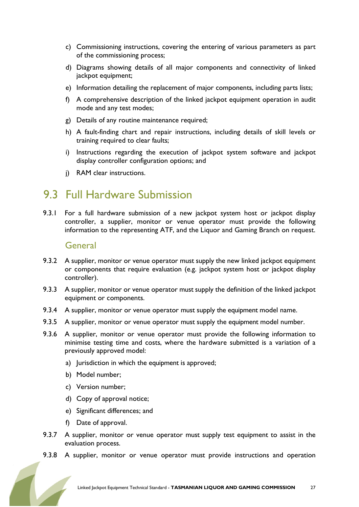- c) Commissioning instructions, covering the entering of various parameters as part of the commissioning process;
- d) Diagrams showing details of all major components and connectivity of linked jackpot equipment;
- e) Information detailing the replacement of major components, including parts lists;
- f) A comprehensive description of the linked jackpot equipment operation in audit mode and any test modes;
- g) Details of any routine maintenance required;
- h) A fault-finding chart and repair instructions, including details of skill levels or training required to clear faults;
- i) Instructions regarding the execution of jackpot system software and jackpot display controller configuration options; and
- j) RAM clear instructions.

### 9.3 Full Hardware Submission

9.3.1 For a full hardware submission of a new jackpot system host or jackpot display controller, a supplier, monitor or venue operator must provide the following information to the representing ATF, and the Liquor and Gaming Branch on request.

#### General

- 9.3.2 A supplier, monitor or venue operator must supply the new linked jackpot equipment or components that require evaluation (e.g. jackpot system host or jackpot display controller).
- 9.3.3 A supplier, monitor or venue operator must supply the definition of the linked jackpot equipment or components.
- 9.3.4 A supplier, monitor or venue operator must supply the equipment model name.
- 9.3.5 A supplier, monitor or venue operator must supply the equipment model number.
- 9.3.6 A supplier, monitor or venue operator must provide the following information to minimise testing time and costs, where the hardware submitted is a variation of a previously approved model:
	- a) Jurisdiction in which the equipment is approved;
	- b) Model number;
	- c) Version number;
	- d) Copy of approval notice;
	- e) Significant differences; and
	- f) Date of approval.
- 9.3.7 A supplier, monitor or venue operator must supply test equipment to assist in the evaluation process.
- 9.3.8 A supplier, monitor or venue operator must provide instructions and operation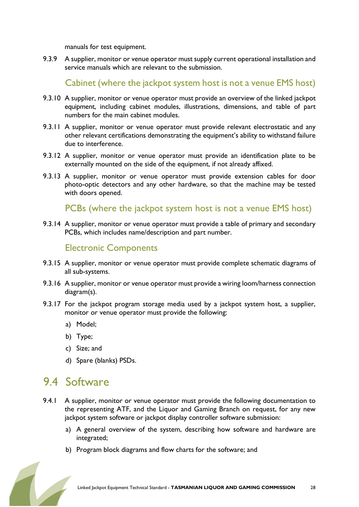manuals for test equipment.

9.3.9 A supplier, monitor or venue operator must supply current operational installation and service manuals which are relevant to the submission.

Cabinet (where the jackpot system host is not a venue EMS host)

- 9.3.10 A supplier, monitor or venue operator must provide an overview of the linked jackpot equipment, including cabinet modules, illustrations, dimensions, and table of part numbers for the main cabinet modules.
- 9.3.11 A supplier, monitor or venue operator must provide relevant electrostatic and any other relevant certifications demonstrating the equipment's ability to withstand failure due to interference.
- 9.3.12 A supplier, monitor or venue operator must provide an identification plate to be externally mounted on the side of the equipment, if not already affixed.
- 9.3.13 A supplier, monitor or venue operator must provide extension cables for door photo-optic detectors and any other hardware, so that the machine may be tested with doors opened.

PCBs (where the jackpot system host is not a venue EMS host)

9.3.14 A supplier, monitor or venue operator must provide a table of primary and secondary PCBs, which includes name/description and part number.

### Electronic Components

- 9.3.15 A supplier, monitor or venue operator must provide complete schematic diagrams of all sub-systems.
- 9.3.16 A supplier, monitor or venue operator must provide a wiring loom/harness connection diagram(s).
- 9.3.17 For the jackpot program storage media used by a jackpot system host, a supplier, monitor or venue operator must provide the following:
	- a) Model;
	- b) Type;
	- c) Size; and
	- d) Spare (blanks) PSDs.

# 9.4 Software

- 9.4.1 A supplier, monitor or venue operator must provide the following documentation to the representing ATF, and the Liquor and Gaming Branch on request, for any new jackpot system software or jackpot display controller software submission:
	- a) A general overview of the system, describing how software and hardware are integrated;
	- b) Program block diagrams and flow charts for the software; and

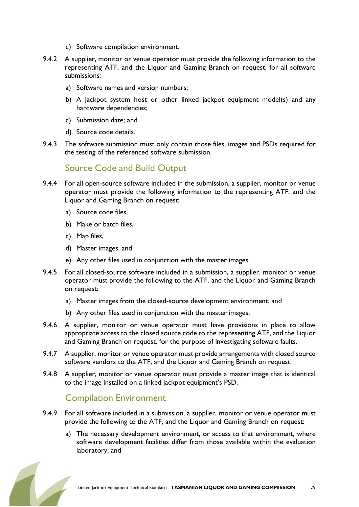- c) Software compilation environment.
- 9.4.2 A supplier, monitor or venue operator must provide the following information to the representing ATF, and the Liquor and Gaming Branch on request, for all software submissions:
	- a) Software names and version numbers;
	- b) A jackpot system host or other linked jackpot equipment model(s) and any hardware dependencies;
	- c) Submission date; and
	- d) Source code details.
- 9.4.3 The software submission must only contain those files, images and PSDs required for the testing of the referenced software submission.

### Source Code and Build Output

- 9.4.4 For all open-source software included in the submission, a supplier, monitor or venue operator must provide the following information to the representing ATF, and the Liquor and Gaming Branch on request:
	- a) Source code files,
	- b) Make or batch files,
	- c) Map files,
	- d) Master images, and
	- e) Any other files used in conjunction with the master images.
- 9.4.5 For all closed-source software included in a submission, a supplier, monitor or venue operator must provide the following to the ATF, and the Liquor and Gaming Branch on request:
	- a) Master images from the closed-source development environment; and
	- b) Any other files used in conjunction with the master images.
- 9.4.6 A supplier, monitor or venue operator must have provisions in place to allow appropriate access to the closed source code to the representing ATF, and the Liquor and Gaming Branch on request, for the purpose of investigating software faults.
- 9.4.7 A supplier, monitor or venue operator must provide arrangements with closed source software vendors to the ATF, and the Liquor and Gaming Branch on request.
- 9.4.8 A supplier, monitor or venue operator must provide a master image that is identical to the image installed on a linked jackpot equipment's PSD.

### Compilation Environment

- 9.4.9 For all software included in a submission, a supplier, monitor or venue operator must provide the following to the ATF, and the Liquor and Gaming Branch on request:
	- a) The necessary development environment, or access to that environment, where software development facilities differ from those available within the evaluation laboratory; and

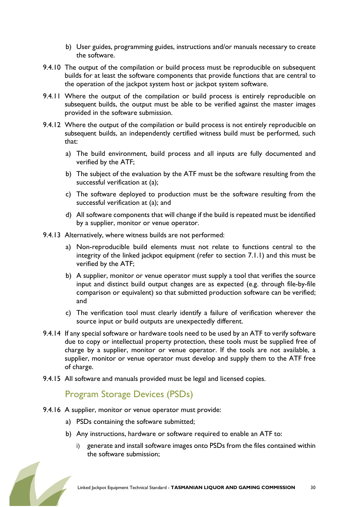- b) User guides, programming guides, instructions and/or manuals necessary to create the software.
- 9.4.10 The output of the compilation or build process must be reproducible on subsequent builds for at least the software components that provide functions that are central to the operation of the jackpot system host or jackpot system software.
- 9.4.11 Where the output of the compilation or build process is entirely reproducible on subsequent builds, the output must be able to be verified against the master images provided in the software submission.
- 9.4.12 Where the output of the compilation or build process is not entirely reproducible on subsequent builds, an independently certified witness build must be performed, such that:
	- a) The build environment, build process and all inputs are fully documented and verified by the ATF;
	- b) The subject of the evaluation by the ATF must be the software resulting from the successful verification at (a);
	- c) The software deployed to production must be the software resulting from the successful verification at (a); and
	- d) All software components that will change if the build is repeated must be identified by a supplier, monitor or venue operator.
- 9.4.13 Alternatively, where witness builds are not performed:
	- a) Non-reproducible build elements must not relate to functions central to the integrity of the linked jackpot equipment (refer to section 7.1.1) and this must be verified by the ATF;
	- b) A supplier, monitor or venue operator must supply a tool that verifies the source input and distinct build output changes are as expected (e.g. through file-by-file comparison or equivalent) so that submitted production software can be verified; and
	- c) The verification tool must clearly identify a failure of verification wherever the source input or build outputs are unexpectedly different.
- 9.4.14 If any special software or hardware tools need to be used by an ATF to verify software due to copy or intellectual property protection, these tools must be supplied free of charge by a supplier, monitor or venue operator. If the tools are not available, a supplier, monitor or venue operator must develop and supply them to the ATF free of charge.
- 9.4.15 All software and manuals provided must be legal and licensed copies.

### Program Storage Devices (PSDs)

- 9.4.16 A supplier, monitor or venue operator must provide:
	- a) PSDs containing the software submitted;
	- b) Any instructions, hardware or software required to enable an ATF to:
		- i) generate and install software images onto PSDs from the files contained within the software submission;

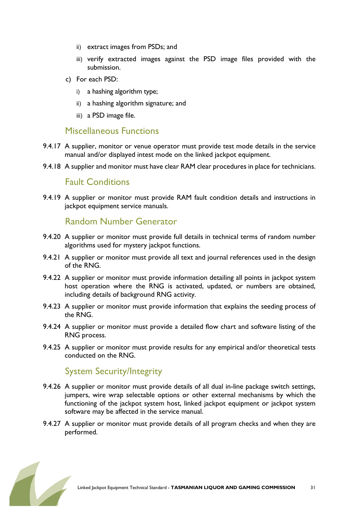- ii) extract images from PSDs; and
- iii) verify extracted images against the PSD image files provided with the submission.
- c) For each PSD:
	- i) a hashing algorithm type;
	- ii) a hashing algorithm signature; and
	- iii) a PSD image file.

#### Miscellaneous Functions

- 9.4.17 A supplier, monitor or venue operator must provide test mode details in the service manual and/or displayed intest mode on the linked jackpot equipment.
- 9.4.18 A supplier and monitor must have clear RAM clear procedures in place for technicians.

#### Fault Conditions

9.4.19 A supplier or monitor must provide RAM fault condition details and instructions in jackpot equipment service manuals.

#### Random Number Generator

- 9.4.20 A supplier or monitor must provide full details in technical terms of random number algorithms used for mystery jackpot functions.
- 9.4.21 A supplier or monitor must provide all text and journal references used in the design of the RNG.
- 9.4.22 A supplier or monitor must provide information detailing all points in jackpot system host operation where the RNG is activated, updated, or numbers are obtained, including details of background RNG activity.
- 9.4.23 A supplier or monitor must provide information that explains the seeding process of the RNG.
- 9.4.24 A supplier or monitor must provide a detailed flow chart and software listing of the RNG process.
- 9.4.25 A supplier or monitor must provide results for any empirical and/or theoretical tests conducted on the RNG.

#### System Security/Integrity

- 9.4.26 A supplier or monitor must provide details of all dual in-line package switch settings, jumpers, wire wrap selectable options or other external mechanisms by which the functioning of the jackpot system host, linked jackpot equipment or jackpot system software may be affected in the service manual.
- 9.4.27 A supplier or monitor must provide details of all program checks and when they are performed.

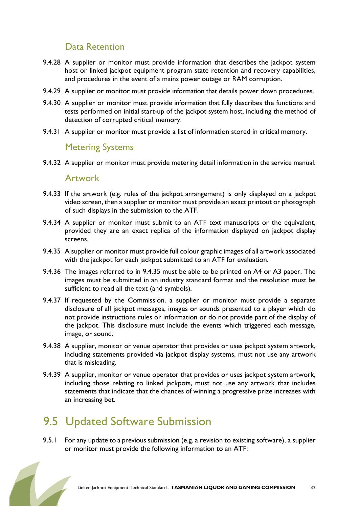### Data Retention

- 9.4.28 A supplier or monitor must provide information that describes the jackpot system host or linked jackpot equipment program state retention and recovery capabilities, and procedures in the event of a mains power outage or RAM corruption.
- 9.4.29 A supplier or monitor must provide information that details power down procedures.
- 9.4.30 A supplier or monitor must provide information that fully describes the functions and tests performed on initial start-up of the jackpot system host, including the method of detection of corrupted critical memory.
- 9.4.31 A supplier or monitor must provide a list of information stored in critical memory.

#### Metering Systems

9.4.32 A supplier or monitor must provide metering detail information in the service manual.

#### Artwork

- 9.4.33 If the artwork (e.g. rules of the jackpot arrangement) is only displayed on a jackpot video screen, then a supplier or monitor must provide an exact printout or photograph of such displays in the submission to the ATF.
- 9.4.34 A supplier or monitor must submit to an ATF text manuscripts or the equivalent, provided they are an exact replica of the information displayed on jackpot display screens.
- 9.4.35 A supplier or monitor must provide full colour graphic images of all artwork associated with the jackpot for each jackpot submitted to an ATF for evaluation.
- 9.4.36 The images referred to in 9.4.35 must be able to be printed on A4 or A3 paper. The images must be submitted in an industry standard format and the resolution must be sufficient to read all the text (and symbols).
- 9.4.37 If requested by the Commission, a supplier or monitor must provide a separate disclosure of all jackpot messages, images or sounds presented to a player which do not provide instructions rules or information or do not provide part of the display of the jackpot. This disclosure must include the events which triggered each message, image, or sound.
- 9.4.38 A supplier, monitor or venue operator that provides or uses jackpot system artwork, including statements provided via jackpot display systems, must not use any artwork that is misleading.
- 9.4.39 A supplier, monitor or venue operator that provides or uses jackpot system artwork, including those relating to linked jackpots, must not use any artwork that includes statements that indicate that the chances of winning a progressive prize increases with an increasing bet.

# 9.5 Updated Software Submission

9.5.1 For any update to a previous submission (e.g. a revision to existing software), a supplier or monitor must provide the following information to an ATF:

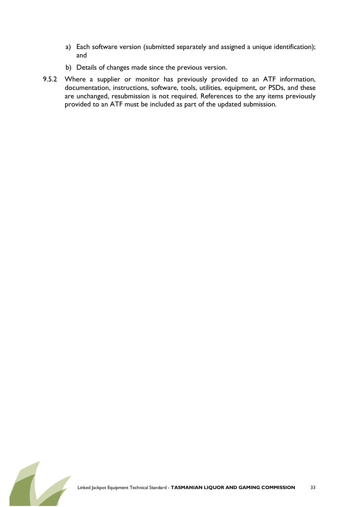- a) Each software version (submitted separately and assigned a unique identification); and
- b) Details of changes made since the previous version.
- 9.5.2 Where a supplier or monitor has previously provided to an ATF information, documentation, instructions, software, tools, utilities, equipment, or PSDs, and these are unchanged, resubmission is not required. References to the any items previously provided to an ATF must be included as part of the updated submission.

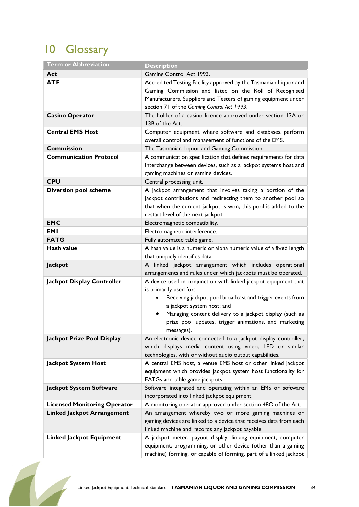# 10 Glossary

| <b>Term or Abbreviation</b>         | <b>Description</b>                                                                                                                                                                                                                                                                                                    |
|-------------------------------------|-----------------------------------------------------------------------------------------------------------------------------------------------------------------------------------------------------------------------------------------------------------------------------------------------------------------------|
| Act                                 | Gaming Control Act 1993.                                                                                                                                                                                                                                                                                              |
| <b>ATF</b>                          | Accredited Testing Facility approved by the Tasmanian Liquor and<br>Gaming Commission and listed on the Roll of Recognised<br>Manufacturers, Suppliers and Testers of gaming equipment under<br>section 71 of the Gaming Control Act 1993.                                                                            |
| <b>Casino Operator</b>              | The holder of a casino licence approved under section 13A or<br>13B of the Act.                                                                                                                                                                                                                                       |
| <b>Central EMS Host</b>             | Computer equipment where software and databases perform<br>overall control and management of functions of the EMS.                                                                                                                                                                                                    |
| <b>Commission</b>                   | The Tasmanian Liquor and Gaming Commission.                                                                                                                                                                                                                                                                           |
| <b>Communication Protocol</b>       | A communication specification that defines requirements for data<br>interchange between devices, such as a jackpot systems host and<br>gaming machines or gaming devices.                                                                                                                                             |
| <b>CPU</b>                          | Central processing unit.                                                                                                                                                                                                                                                                                              |
| <b>Diversion pool scheme</b>        | A jackpot arrangement that involves taking a portion of the<br>jackpot contributions and redirecting them to another pool so<br>that when the current jackpot is won, this pool is added to the<br>restart level of the next jackpot.                                                                                 |
| <b>EMC</b>                          | Electromagnetic compatibility.                                                                                                                                                                                                                                                                                        |
| EMI                                 | Electromagnetic interference.                                                                                                                                                                                                                                                                                         |
| <b>FATG</b>                         | Fully automated table game.                                                                                                                                                                                                                                                                                           |
| Hash value                          | A hash value is a numeric or alpha numeric value of a fixed length<br>that uniquely identifies data.                                                                                                                                                                                                                  |
| Jackpot                             | A linked jackpot arrangement which includes operational<br>arrangements and rules under which jackpots must be operated.                                                                                                                                                                                              |
| Jackpot Display Controller          | A device used in conjunction with linked jackpot equipment that<br>is primarily used for:<br>Receiving jackpot pool broadcast and trigger events from<br>a jackpot system host; and<br>Managing content delivery to a jackpot display (such as<br>prize pool updates, trigger animations, and marketing<br>messages). |
| Jackpot Prize Pool Display          | An electronic device connected to a jackpot display controller,<br>which displays media content using video, LED or similar<br>technologies, with or without audio output capabilities.                                                                                                                               |
| <b>Jackpot System Host</b>          | A central EMS host, a venue EMS host or other linked jackpot<br>equipment which provides jackpot system host functionality for<br>FATGs and table game jackpots.                                                                                                                                                      |
| <b>Jackpot System Software</b>      | Software integrated and operating within an EMS or software<br>incorporated into linked jackpot equipment.                                                                                                                                                                                                            |
| <b>Licensed Monitoring Operator</b> | A monitoring operator approved under section 48O of the Act.                                                                                                                                                                                                                                                          |
| <b>Linked Jackpot Arrangement</b>   | An arrangement whereby two or more gaming machines or<br>gaming devices are linked to a device that receives data from each<br>linked machine and records any jackpot payable.                                                                                                                                        |
| <b>Linked Jackpot Equipment</b>     | A jackpot meter, payout display, linking equipment, computer<br>equipment, programming, or other device (other than a gaming<br>machine) forming, or capable of forming, part of a linked jackpot                                                                                                                     |